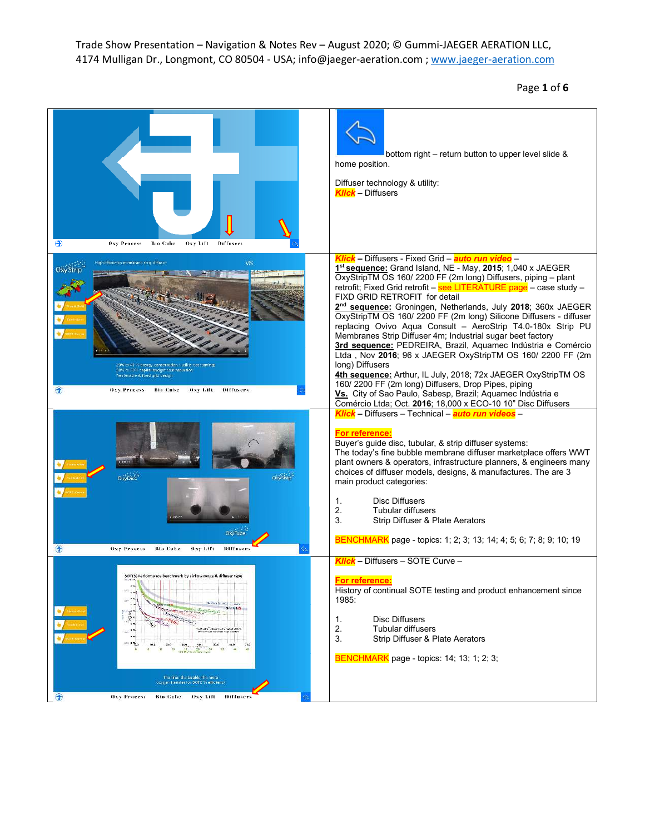Page **1** of **6**

| <b>Oxy Process</b><br><b>Bio Cube</b><br>Oxy Lift<br><b>Diffusers</b>                                                                                                                                                                                                                                                          | bottom right – return button to upper level slide &<br>home position.<br>Diffuser technology & utility:<br><b>Klick</b> - Diffusers                                                                                                                                                                                                                                                                                                                                                                                                                                                                                                                                                                                                                                                                                                                                                                                                                                                       |
|--------------------------------------------------------------------------------------------------------------------------------------------------------------------------------------------------------------------------------------------------------------------------------------------------------------------------------|-------------------------------------------------------------------------------------------------------------------------------------------------------------------------------------------------------------------------------------------------------------------------------------------------------------------------------------------------------------------------------------------------------------------------------------------------------------------------------------------------------------------------------------------------------------------------------------------------------------------------------------------------------------------------------------------------------------------------------------------------------------------------------------------------------------------------------------------------------------------------------------------------------------------------------------------------------------------------------------------|
| VS<br>in officiency membrane strip diffuse<br>20% to 40 % energy conservation / willity cost say<br>30% to 50% capital budget cost reduction<br>Tetrievable & Exed grid cesign<br>Diffusers<br><b>Oxy Process</b><br><b>Bio Cube</b><br>Oxy Lift                                                                               | Klick – Diffusers - Fixed Grid – auto run video –<br>1 <sup>st</sup> sequence: Grand Island, NE - May, 2015; 1,040 x JAEGER<br>OxyStripTM OS 160/2200 FF (2m long) Diffusers, piping - plant<br>retrofit; Fixed Grid retrofit - see LITERATURE page - case study -<br>FIXD GRID RETROFIT for detail<br>2 <sup>nd</sup> sequence: Groningen, Netherlands, July 2018; 360x JAEGER<br>OxyStripTM OS 160/ 2200 FF (2m long) Silicone Diffusers - diffuser<br>replacing Ovivo Aqua Consult - AeroStrip T4.0-180x Strip PU<br>Membranes Strip Diffuser 4m; Industrial sugar beet factory<br>3rd sequence: PEDREIRA, Brazil, Aquamec Indústria e Comércio<br>Ltda, Nov 2016; 96 x JAEGER OxyStripTM OS 160/ 2200 FF (2m<br>long) Diffusers<br>4th sequence: Arthur, IL July, 2018; 72x JAEGER OxyStripTM OS<br>160/2200 FF (2m long) Diffusers, Drop Pipes, piping<br>Vs. City of Sao Paulo, Sabesp, Brazil; Aquamec Indústria e<br>Comércio Ltda; Oct. 2016; 18,000 x ECO-10 10" Disc Diffusers |
| Oxystrip"<br><b>Oxy Disc</b><br>Oxy Tub<br>闭<br>Oxy Process<br>Rio Cube<br>Oxy Lift<br>Diffuser                                                                                                                                                                                                                                | Klick - Diffusers - Technical - auto run videos -<br><b>For reference:</b><br>Buyer's guide disc, tubular, & strip diffuser systems:<br>The today's fine bubble membrane diffuser marketplace offers WWT<br>plant owners & operators, infrastructure planners, & engineers many<br>choices of diffuser models, designs, & manufactures. The are 3<br>main product categories:<br><b>Disc Diffusers</b><br>1.<br><b>Tubular diffusers</b><br>2.<br>3.<br>Strip Diffuser & Plate Aerators<br><b>BENCHMARK</b> page - topics: 1; 2; 3; 13; 14; 4; 5; 6; 7; 8; 9; 10; 19                                                                                                                                                                                                                                                                                                                                                                                                                      |
| SOTES \$<br><b>SP</b><br>$\pm\phi$<br>$\epsilon$ in<br>$GHS = 4.6$<br>٣n<br><b>Service Indiana</b><br>$\tilde{\mathbb{R}}^n$<br>i za<br>a va<br>$\overline{\phantom{a}}$<br>an artist<br>The finer the bubble the more<br>oxygen transfer for SOTE % efficiency<br><b>Oxy Process</b><br>Oxy Lift Diffusers<br><b>Bio Cube</b> | <b>Klick</b> - Diffusers - SOTE Curve -<br><b>For reference:</b><br>History of continual SOTE testing and product enhancement since<br>1985:<br><b>Disc Diffusers</b><br>1.<br>2.<br>Tubular diffusers<br>Strip Diffuser & Plate Aerators<br>3.<br>BENCHMARK page - topics: 14; 13; 1; 2; 3;                                                                                                                                                                                                                                                                                                                                                                                                                                                                                                                                                                                                                                                                                              |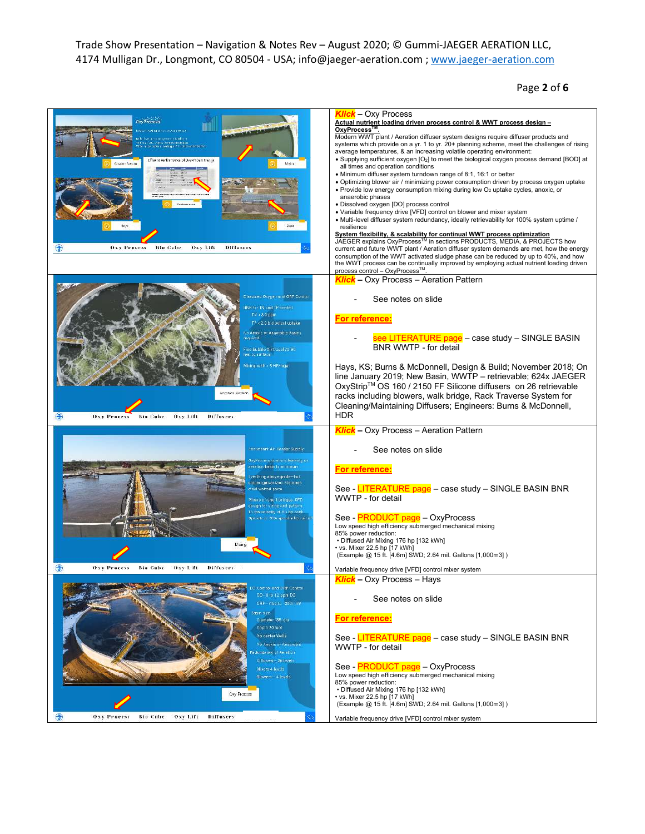Page **2** of **6**

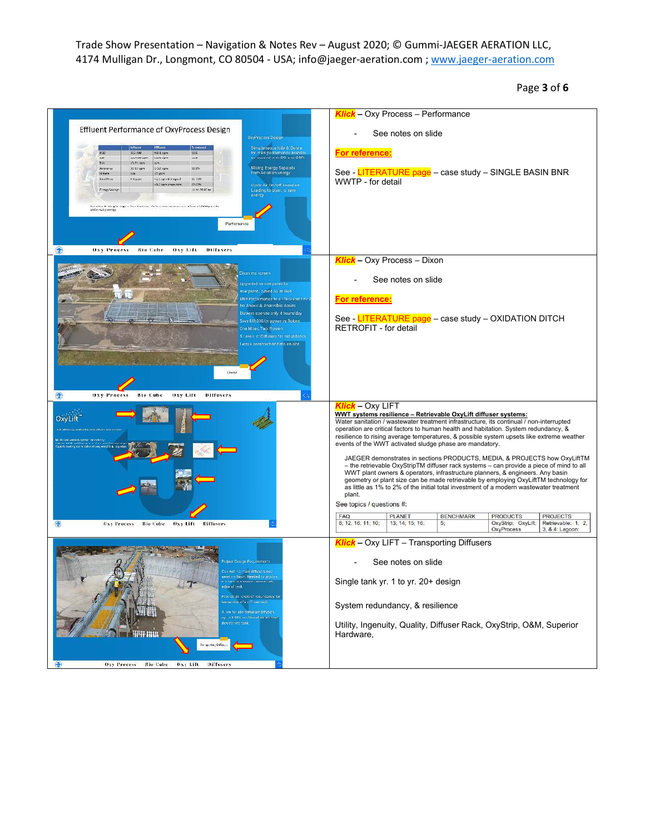Page **3** of **6**

|                                                                                                                                                                                                                                                                                                                          | Klick - Oxy Process - Performance                                                                                                                                                                                                                                                                                                                                                                                                       |
|--------------------------------------------------------------------------------------------------------------------------------------------------------------------------------------------------------------------------------------------------------------------------------------------------------------------------|-----------------------------------------------------------------------------------------------------------------------------------------------------------------------------------------------------------------------------------------------------------------------------------------------------------------------------------------------------------------------------------------------------------------------------------------|
| Effluent Performance of OxyProcess Design<br>OxyProcess Design                                                                                                                                                                                                                                                           | See notes on slide                                                                                                                                                                                                                                                                                                                                                                                                                      |
| Simultaneous Nite & Denite<br>for HNH performance Monitor<br><b>KD 1 spm</b><br>303,500<br>eco<br>男客<br>is needed with DO and ORP.<br>T35<br>232-100 ppm<br>hit-1 apm<br>22.6<br>37.70 com<br>Tex<br><b>WHY</b>                                                                                                          | For reference:                                                                                                                                                                                                                                                                                                                                                                                                                          |
| Mixing Energy Separate<br>Armeria<br>30-50 spm<br>SSL6 opt<br>91.9%<br>from Acration Energy<br>74 truste<br>$C$ non<br>nin.<br>TotalPhos<br>$6.8 \mu$ om<br>1p po od ngo 0.59<br>$-2708$<br>Cycle Air On/Off based on<br>Al spriceminn<br>22-10%<br>Arizo 20-30 km<br>Fregy Syznat<br>Loading to plant to save<br>inergy | See - LITERATURE page - case study - SINGLE BASIN BNR<br>WWTP - for detail                                                                                                                                                                                                                                                                                                                                                              |
| forced the Ensting Tentage or New Escotions - Performance no connect and Europe APOSS panelle<br>while studio energy<br>Performance                                                                                                                                                                                      |                                                                                                                                                                                                                                                                                                                                                                                                                                         |
| Oxy Process<br><b>Bio Cube</b><br>Oxy Lift<br><b>Diffusers</b>                                                                                                                                                                                                                                                           | <b>Klick</b> - Oxy Process - Dixon                                                                                                                                                                                                                                                                                                                                                                                                      |
| Xixan mu screen<br>Upgreded as compared to<br>lew plant. Saved S5 million.                                                                                                                                                                                                                                               | See notes on slide                                                                                                                                                                                                                                                                                                                                                                                                                      |
| SNR Performance to a TNks and TRK I<br>lo Anosic & Anaerobic Basins                                                                                                                                                                                                                                                      | For reference:                                                                                                                                                                                                                                                                                                                                                                                                                          |
| Blowers operate only 4 hours/day<br>Save \$10,000/yr power vs Rotors<br>Ine Mixer, Two Blowers<br>Levels of Diffusers for redundancy<br>week construction time on-site.                                                                                                                                                  | See - LITERATURE page - case study - OXIDATION DITCH<br><b>RETROFIT - for detail</b>                                                                                                                                                                                                                                                                                                                                                    |
|                                                                                                                                                                                                                                                                                                                          |                                                                                                                                                                                                                                                                                                                                                                                                                                         |
|                                                                                                                                                                                                                                                                                                                          |                                                                                                                                                                                                                                                                                                                                                                                                                                         |
| €<br>Oxy Process<br><b>Bio Cube</b><br>Oxy Lift<br><b>Diffusers</b>                                                                                                                                                                                                                                                      |                                                                                                                                                                                                                                                                                                                                                                                                                                         |
| OxyLift<br>the efficiency nethodologically diffuse took aveve<br>on carrier industries                                                                                                                                                                                                                                   | <b>Klick</b> – Oxy LIFT<br>WWT systems resilience - Retrievable OxyLift diffuser systems:<br>Water sanitation / wastewater treatment infrastructure, its continual / non-interrupted<br>operation are critical factors to human health and habitation. System redundancy, &<br>resilience to rising average temperatures, & possible system upsets like extreme weather<br>events of the WWT activated sludge phase are mandatory.      |
|                                                                                                                                                                                                                                                                                                                          | JAEGER demonstrates in sections PRODUCTS, MEDIA, & PROJECTS how OxyLiftTM<br>- the retrievable OxyStripTM diffuser rack systems - can provide a piece of mind to all<br>WWT plant owners & operators, infrastructure planners, & engineers. Any basin<br>geometry or plant size can be made retrievable by employing OxyLiftTM technology for<br>as little as 1% to 2% of the initial total investment of a modern wastewater treatment |
|                                                                                                                                                                                                                                                                                                                          | plant.<br>See topics / questions #:                                                                                                                                                                                                                                                                                                                                                                                                     |
| Oxy Process<br><b>Bio Cube</b><br><b>Oxy Lift</b><br><b>Diffusers</b>                                                                                                                                                                                                                                                    | <b>FAQ</b><br><b>PLANET</b><br><b>BENCHMARK</b><br><b>PRODUCTS</b><br><b>PROJECTS</b><br>8; 12; 16; 11; 10;<br>13; 14; 15; 16;<br>OxyStrip; OxyLift:<br>Retrievable: 1, 2,<br>5;<br><b>OxyProcess</b><br>3, & 4: Lagoon:                                                                                                                                                                                                                |
|                                                                                                                                                                                                                                                                                                                          | Klick - Oxy LIFT - Transporting Diffusers                                                                                                                                                                                                                                                                                                                                                                                               |
| ajent Design Pagahements<br>nnt maintain diffusers                                                                                                                                                                                                                                                                       | See notes on slide                                                                                                                                                                                                                                                                                                                                                                                                                      |
| reration basin. Needed to provi<br>< cert to beneficial diffuse als<br>adge of tenk.<br>Froy de 26 lovels of redundancy for                                                                                                                                                                                              | Single tank yr. 1 to yr. 20+ design                                                                                                                                                                                                                                                                                                                                                                                                     |
| incoection of a cittatur tack<br>thow for additional air diffusers.                                                                                                                                                                                                                                                      | System redundancy, & resilience                                                                                                                                                                                                                                                                                                                                                                                                         |
| ip. a 6-10% auchtional air without-<br>dewetering tank.<br>41-mu<br>hangesting Diffuses                                                                                                                                                                                                                                  | Utility, Ingenuity, Quality, Diffuser Rack, OxyStrip, O&M, Superior<br>Hardware,                                                                                                                                                                                                                                                                                                                                                        |
| Oxy Process<br><b>Bio Cube</b><br>Ony Life<br>Diffusers<br>a                                                                                                                                                                                                                                                             |                                                                                                                                                                                                                                                                                                                                                                                                                                         |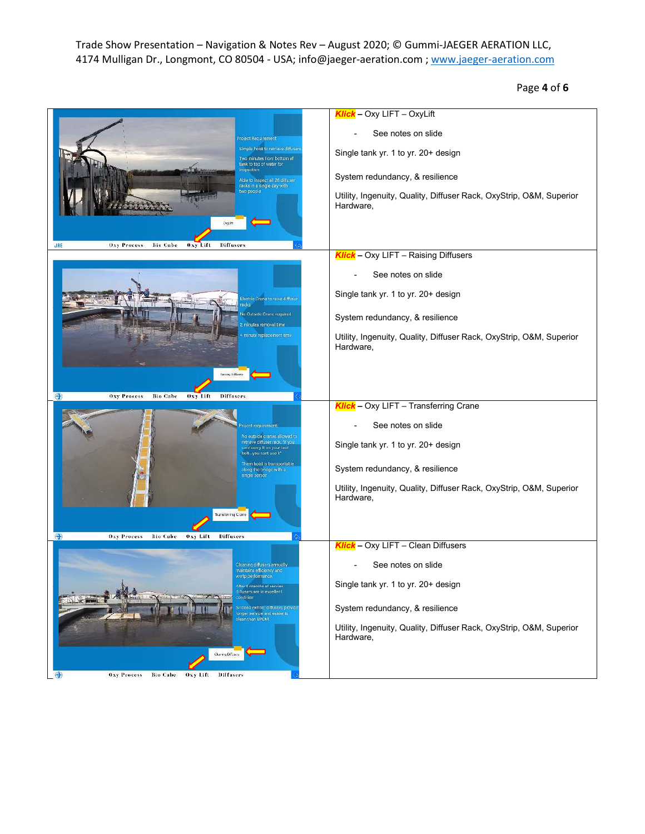Page **4** of **6**

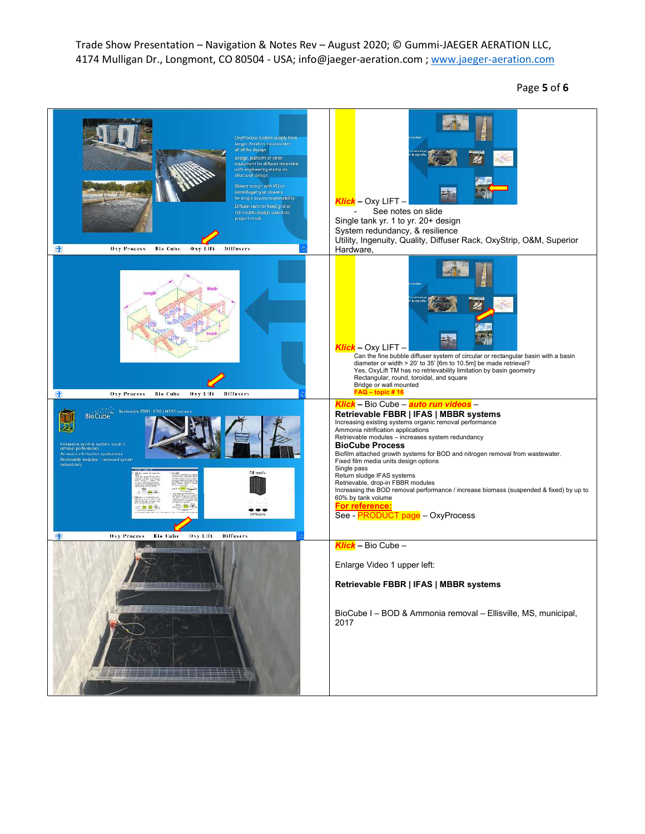Page **5** of **6**